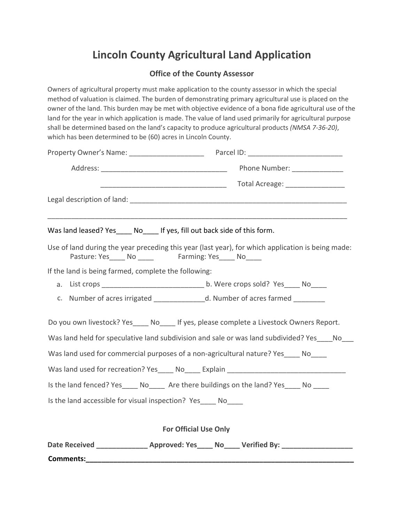## **Lincoln County Agricultural Land Application**

## **Office of the County Assessor**

Owners of agricultural property must make application to the county assessor in which the special method of valuation is claimed. The burden of demonstrating primary agricultural use is placed on the owner of the land. This burden may be met with objective evidence of a bona fide agricultural use of the land for the year in which application is made. The value of land used primarily for agricultural purpose shall be determined based on the land's capacity to produce agricultural products *(NMSA 7-36-20)*, which has been determined to be (60) acres in Lincoln County.

|                                                              | Was land leased? Yes____ No____ If yes, fill out back side of this form.                                                                                  |
|--------------------------------------------------------------|-----------------------------------------------------------------------------------------------------------------------------------------------------------|
|                                                              | Use of land during the year preceding this year (last year), for which application is being made:<br>Pasture: Yes_____ No ______ Farming: Yes_____ No____ |
| If the land is being farmed, complete the following:         |                                                                                                                                                           |
|                                                              |                                                                                                                                                           |
|                                                              | c. Number of acres irrigated ________________d. Number of acres farmed _________                                                                          |
|                                                              | Do you own livestock? Yes_____ No_____ If yes, please complete a Livestock Owners Report.                                                                 |
|                                                              | Was land held for speculative land subdivision and sale or was land subdivided? Yes ____ No___                                                            |
|                                                              | Was land used for commercial purposes of a non-agricultural nature? Yes_____ No_____                                                                      |
|                                                              | Was land used for recreation? Yes _____ No _____ Explain _______________________                                                                          |
|                                                              | Is the land fenced? Yes_____ No______ Are there buildings on the land? Yes_____ No _____                                                                  |
| Is the land accessible for visual inspection? Yes____ No____ |                                                                                                                                                           |
|                                                              | <b>For Official Use Only</b>                                                                                                                              |
|                                                              | Date Received ________________ Approved: Yes____ No____ Verified By: ___________                                                                          |

**Comments:\_\_\_\_\_\_\_\_\_\_\_\_\_\_\_\_\_\_\_\_\_\_\_\_\_\_\_\_\_\_\_\_\_\_\_\_\_\_\_\_\_\_\_\_\_\_\_\_\_\_\_\_\_\_\_\_\_\_\_\_\_\_\_\_\_\_\_\_**